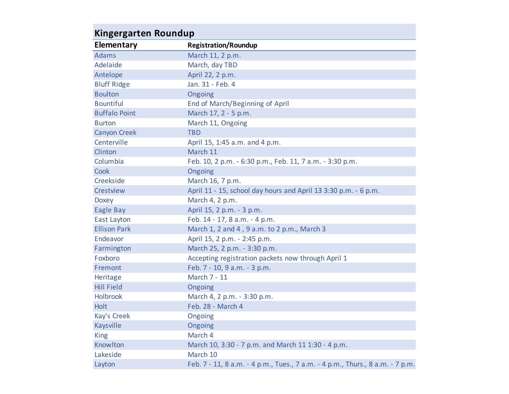| Kingergarten Roundup |                                                                               |  |
|----------------------|-------------------------------------------------------------------------------|--|
| <b>Elementary</b>    | <b>Registration/Roundup</b>                                                   |  |
| <b>Adams</b>         | March 11, 2 p.m.                                                              |  |
| Adelaide             | March, day TBD                                                                |  |
| Antelope             | April 22, 2 p.m.                                                              |  |
| <b>Bluff Ridge</b>   | Jan. 31 - Feb. 4                                                              |  |
| <b>Boulton</b>       | Ongoing                                                                       |  |
| <b>Bountiful</b>     | <b>End of March/Beginning of April</b>                                        |  |
| <b>Buffalo Point</b> | March 17, 2 - 5 p.m.                                                          |  |
| <b>Burton</b>        | March 11, Ongoing                                                             |  |
| <b>Canyon Creek</b>  | <b>TBD</b>                                                                    |  |
| Centerville          | April 15, 1:45 a.m. and 4 p.m.                                                |  |
| Clinton              | March 11                                                                      |  |
| Columbia             | Feb. 10, 2 p.m. - 6:30 p.m., Feb. 11, 7 a.m. - 3:30 p.m.                      |  |
| Cook                 | Ongoing                                                                       |  |
| Creekside            | March 16, 7 p.m.                                                              |  |
| Crestview            | April 11 - 15, school day hours and April 13 3:30 p.m. - 6 p.m.               |  |
| <b>Doxey</b>         | March 4, 2 p.m.                                                               |  |
| <b>Eagle Bay</b>     | April 15, 2 p.m. - 3 p.m.                                                     |  |
| <b>East Layton</b>   | Feb. 14 - 17, 8 a.m. - 4 p.m.                                                 |  |
| <b>Ellison Park</b>  | March 1, 2 and 4, 9 a.m. to 2 p.m., March 3                                   |  |
| Endeavor             | April 15, 2 p.m. - 2:45 p.m.                                                  |  |
| Farmington           | March 25, 2 p.m. - 3:30 p.m.                                                  |  |
| Foxboro              | Accepting registration packets now through April 1                            |  |
| Fremont              | Feb. 7 - 10, 9 a.m. - 3 p.m.                                                  |  |
| Heritage             | March 7 - 11                                                                  |  |
| <b>Hill Field</b>    | Ongoing                                                                       |  |
| <b>Holbrook</b>      | March 4, 2 p.m. - 3:30 p.m.                                                   |  |
| <b>Holt</b>          | Feb. 28 - March 4                                                             |  |
| Kay's Creek          | Ongoing                                                                       |  |
| Kaysville            | Ongoing                                                                       |  |
| <b>King</b>          | March 4                                                                       |  |
| Knowlton             | March 10, 3:30 - 7 p.m. and March 11 1:30 - 4 p.m.                            |  |
| Lakeside             | March 10                                                                      |  |
| Layton               | Feb. 7 - 11, 8 a.m. - 4 p.m., Tues., 7 a.m. - 4 p.m., Thurs., 8 a.m. - 7 p.m. |  |